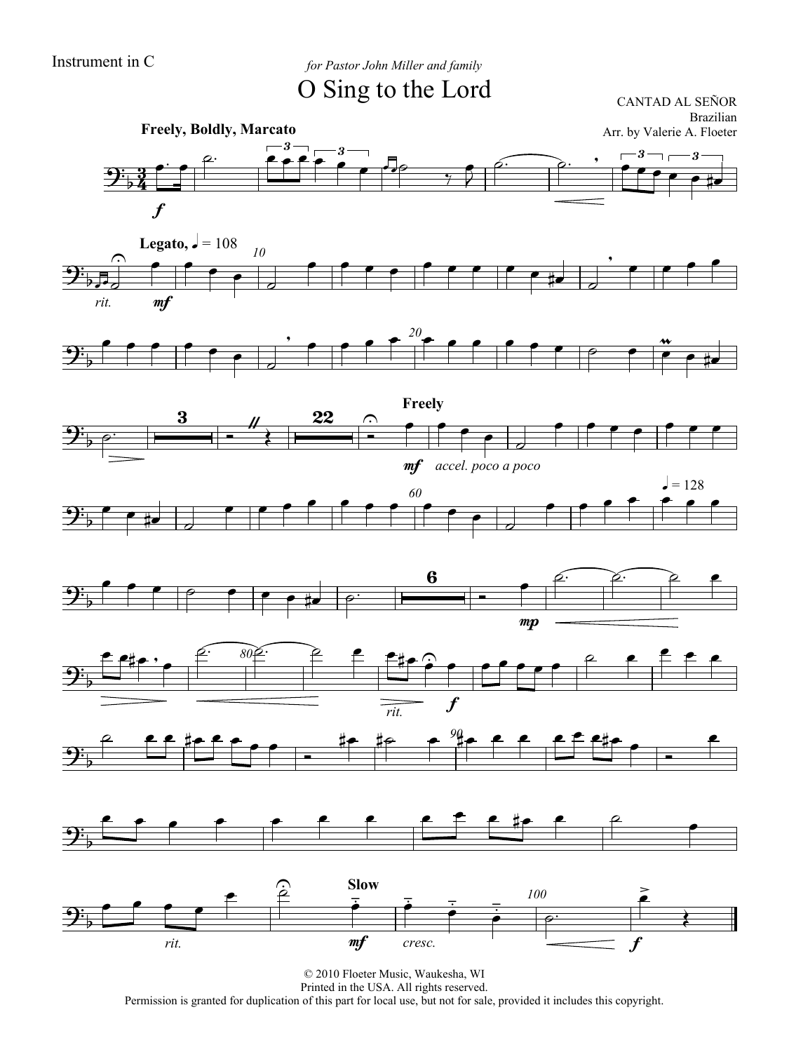$\overline{\mathcal{D}}$ 

 $\frac{1}{2}$ 

Instrument in C *for Pastor John Miller and family* O Sing to the Lord

CANTAD AL SEÑOR













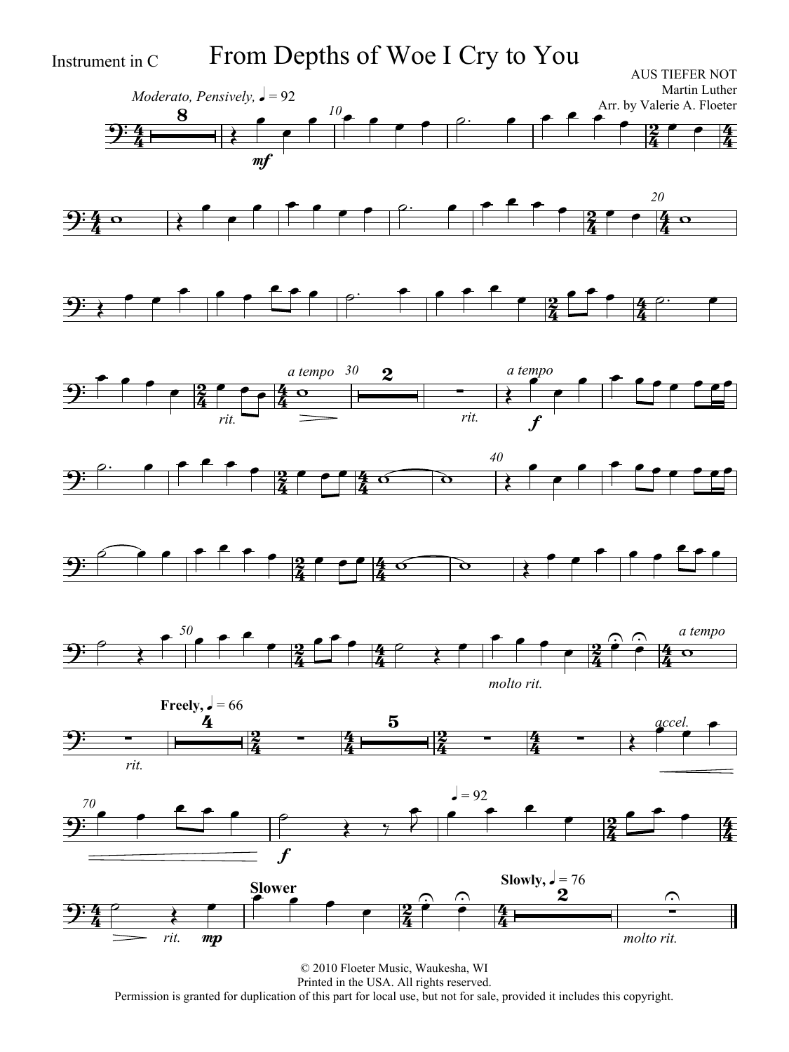Instrument in C From Depths of Woe I Cry to You

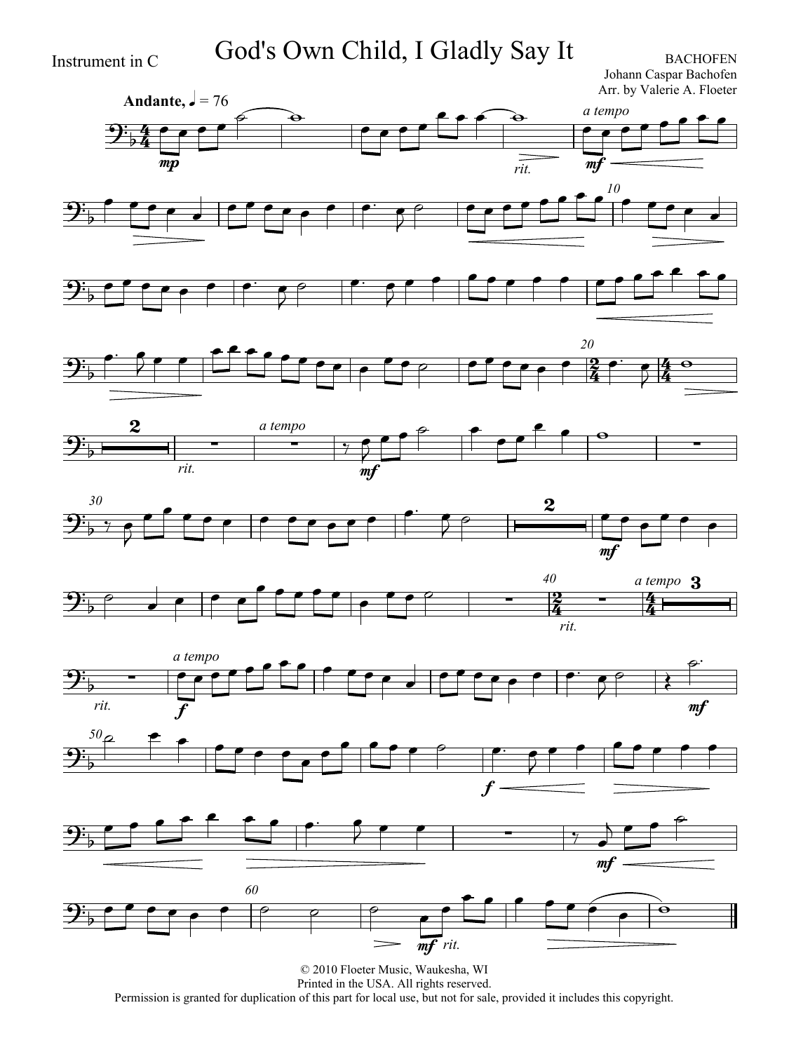Instrument in C God's Own Child, I Gladly Say It

Johann Caspar Bachofen Arr. by Valerie A. Floeter





















Permission is granted for duplication of this part for local use, but not for sale, provided it includes this copyright.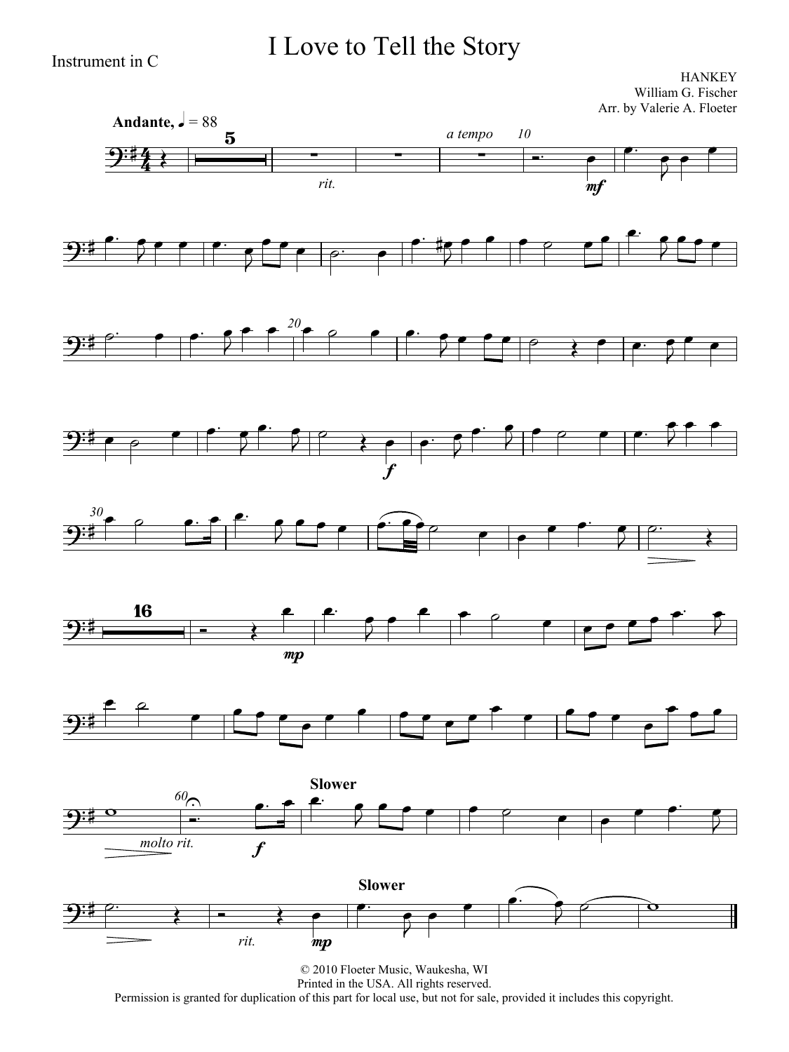## I Love to Tell the Story

Instrument in C

**HANKEY** William G. Fischer Arr. by Valerie A. Floeter

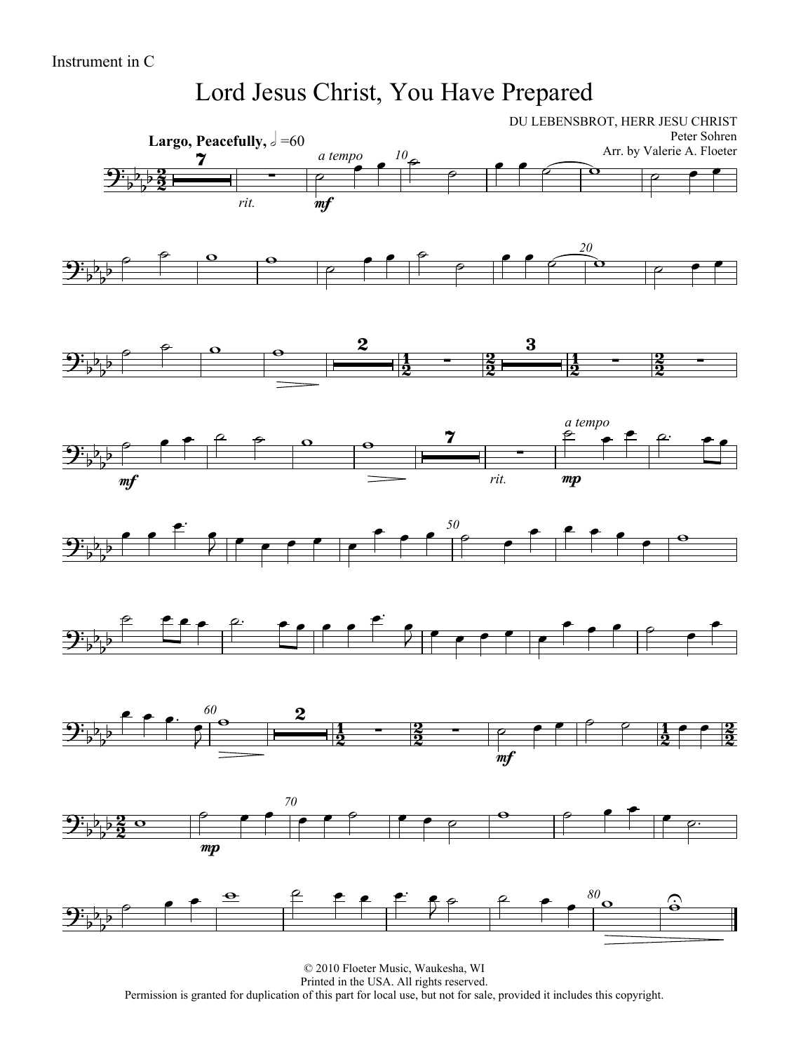#### Lord Jesus Christ, You Have Prepared

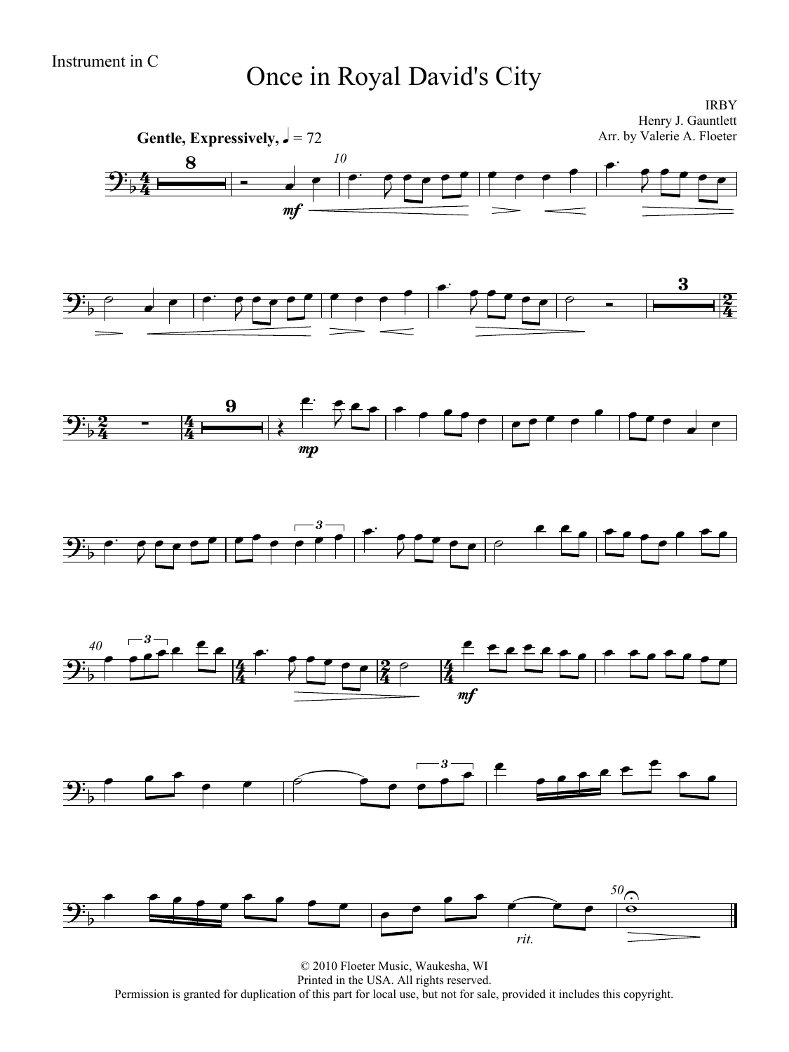# Instrument in C<br>
Once in Royal David's City

IRBY Henry J. Gauntlett Arr. by Valerie A. Floeter

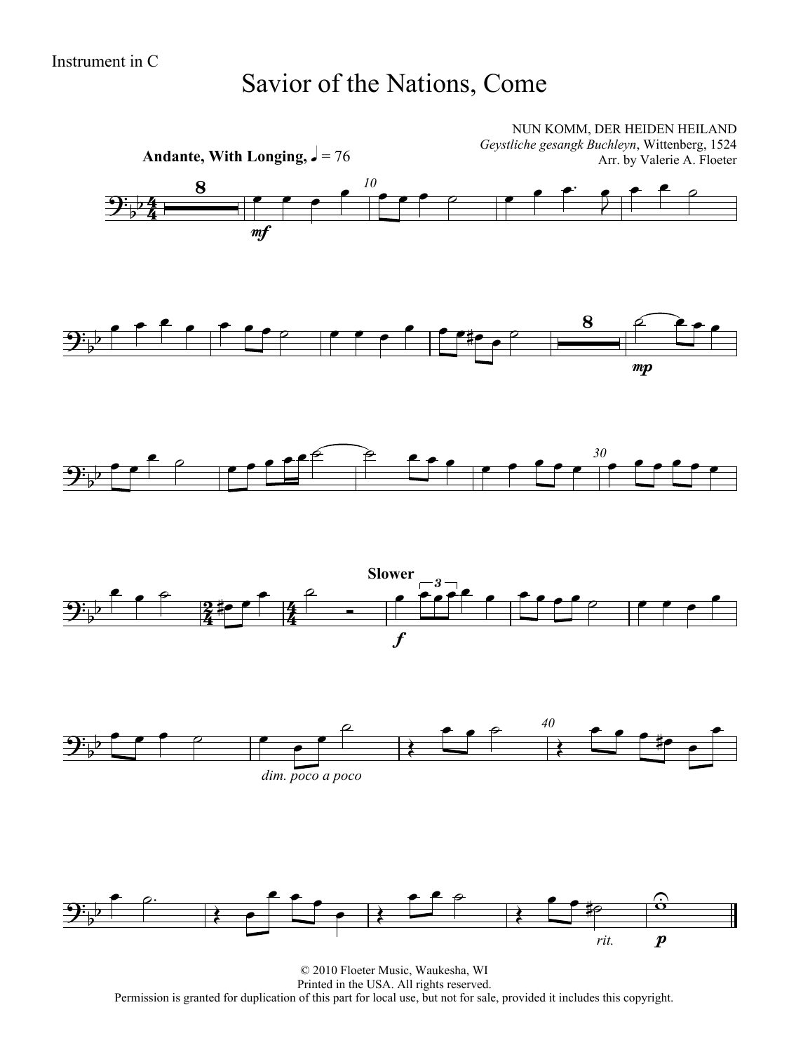#### Savior of the Nations, Come



© 2010 Floeter Music, Waukesha, WI Printed in the USA. All rights reserved. Permission is granted for duplication of this part for local use, but not for sale, provided it includes this copyright.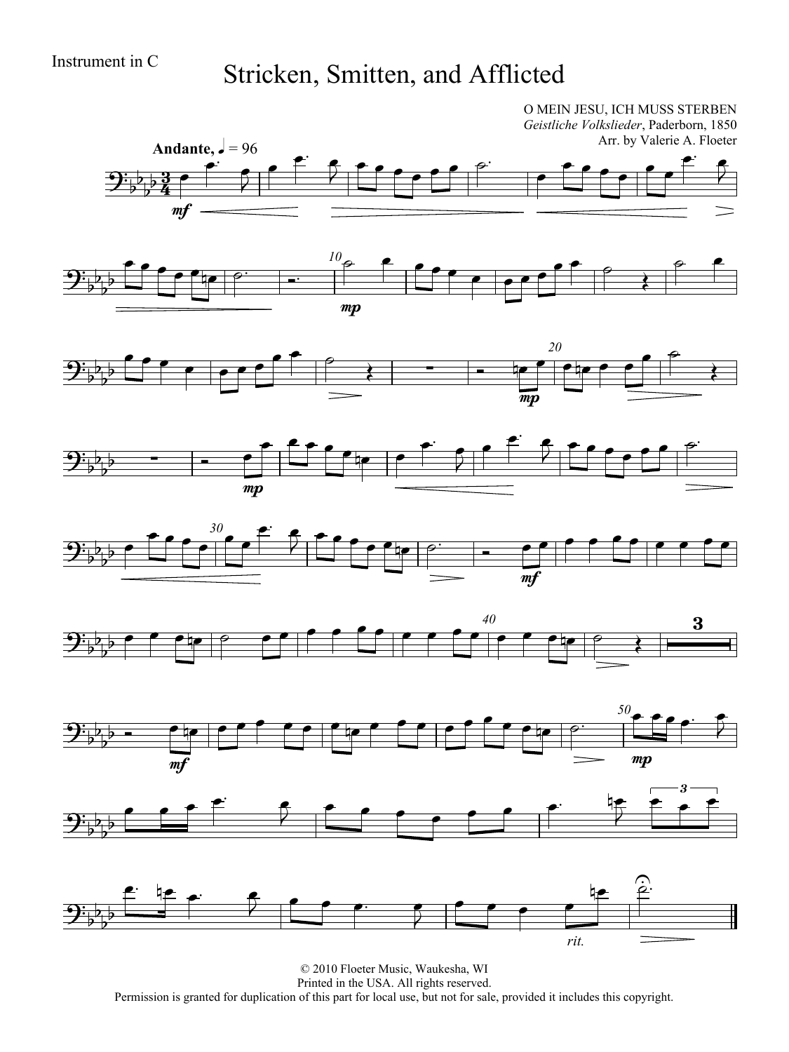# Instrument in C<br>Stricken, Smitten, and Afflicted

O MEIN JESU, ICH MUSS STERBEN

*Geistliche Volkslieder*, Paderborn, 1850 Arr. by Valerie A. Floeter Andante,  $\frac{1}{2} = 96$  $\epsilon$   $\epsilon$   $\overrightarrow{ }$  $\overline{\phantom{a}}$  $\overline{\phantom{a}}$  $\mathbf{\mathcal{P}}$  , <u>3</u>  $\overline{\bullet}$  $\overline{2}$  $\overline{\mathbf{p}}$  $\frac{1}{2}$  $\overline{2}$  $\frac{3}{4}$  $\frac{1}{2}$ mf  $\theta$   $\theta$   $\theta$   $\theta$   $\theta$   $\theta$   $\theta$   $\theta$  $\theta$   $\theta$  $\bullet$   $\bullet$   $\bullet$   $\bullet$   $\circ$   $\bullet$   $\bullet$   $\bullet$ *10*  $\begin{array}{cc} \bullet & \bullet & \bullet \\ \hline & \bullet & \bullet \\ \hline & \bullet & \bullet \end{array}$  $\mathbf{\mathcal{\hat{F}}}_{\flat}$  $\overline{b}$  $\frac{1}{2}$  $\overline{b}$ mp *20*  $\rightarrow$  $\bullet$   $\bullet$   $\bullet$   $\bullet$   $\bullet$   $\bullet$  $\frac{20}{7}$  $\overline{b}$  $\frac{1}{2}$  $\overline{\star}$  $\frac{1}{\sqrt{2}}$  $\frac{1}{2}$ mp  $\epsilon$   $\epsilon$  $\frac{1}{\sqrt{1-\frac{1}{\sqrt{1-\frac{1}{\sqrt{1-\frac{1}{\sqrt{1-\frac{1}{\sqrt{1-\frac{1}{\sqrt{1-\frac{1}{\sqrt{1-\frac{1}{\sqrt{1-\frac{1}{\sqrt{1-\frac{1}{\sqrt{1-\frac{1}{\sqrt{1-\frac{1}{\sqrt{1-\frac{1}{\sqrt{1-\frac{1}{\sqrt{1-\frac{1}{\sqrt{1-\frac{1}{\sqrt{1-\frac{1}{\sqrt{1-\frac{1}{\sqrt{1-\frac{1}{\sqrt{1-\frac{1}{\sqrt{1-\frac{1}{\sqrt{1-\frac{1}{\sqrt{1-\frac{1}{\sqrt{1-\frac{1}{\sqrt{1-\frac{1$  $\overrightarrow{ }$  $\frac{1}{2}$  ,  $\frac{1}{2}$  ,  $\frac{1}{2}$  ,  $\frac{1}{2}$  ,  $\frac{1}{2}$  $\overline{\phantom{a}}$  $\overline{\bullet}$  $\overline{b}$  $\frac{1}{2}$   $\frac{1}{2}$   $\frac{1}{2}$  $\frac{1}{\sqrt{2}}$  $\overline{2}$  $\frac{1}{2}$ mp e<br>Fr  $\frac{1}{\sqrt{1-\frac{1}{\sqrt{1-\frac{1}{\sqrt{1-\frac{1}{\sqrt{1-\frac{1}{\sqrt{1-\frac{1}{\sqrt{1-\frac{1}{\sqrt{1-\frac{1}{\sqrt{1-\frac{1}{\sqrt{1-\frac{1}{\sqrt{1-\frac{1}{\sqrt{1-\frac{1}{\sqrt{1-\frac{1}{\sqrt{1-\frac{1}{\sqrt{1-\frac{1}{\sqrt{1-\frac{1}{\sqrt{1-\frac{1}{\sqrt{1-\frac{1}{\sqrt{1-\frac{1}{\sqrt{1-\frac{1}{\sqrt{1-\frac{1}{\sqrt{1-\frac{1}{\sqrt{1-\frac{1}{\sqrt{1-\frac{1}{\sqrt{1-\frac{1$  $\frac{1}{\sqrt{1-\frac{1}{\sqrt{1-\frac{1}{\sqrt{1-\frac{1}{\sqrt{1-\frac{1}{\sqrt{1-\frac{1}{\sqrt{1-\frac{1}{\sqrt{1-\frac{1}{\sqrt{1-\frac{1}{\sqrt{1-\frac{1}{\sqrt{1-\frac{1}{\sqrt{1-\frac{1}{\sqrt{1-\frac{1}{\sqrt{1-\frac{1}{\sqrt{1-\frac{1}{\sqrt{1-\frac{1}{\sqrt{1-\frac{1}{\sqrt{1-\frac{1}{\sqrt{1-\frac{1}{\sqrt{1-\frac{1}{\sqrt{1-\frac{1}{\sqrt{1-\frac{1}{\sqrt{1-\frac{1}{\sqrt{1-\frac{1}{\sqrt{1-\frac{1$ *30*  $\overline{\phantom{a}}$  $\overrightarrow{e}$   $\overrightarrow{e}$   $\overrightarrow{e}$   $\overrightarrow{e}$   $\overrightarrow{e}$   $\overrightarrow{e}$   $\overrightarrow{e}$  $\mathbf{\mathcal{P}}$  $\frac{1}{2}$  $\overline{b}$  $\frac{1}{2}$ mf *40*  $\frac{40}{5}$  , and the state of the state of the  $\frac{40}{5}$ 3  $\mathbf{\mathcal{\hat{F}}}_{\flat}$  $\frac{1}{2}$ E  $\frac{1}{2}$  $\bullet \bullet \bullet \bullet$ *50*  $\mathbf{\mathcal{\hat{F}}}_{\flat}$  $\overline{b}$  $\bar{z}$  $\overline{b}$  =  $\frac{1}{2}$ mp  $m<sub>l</sub>$  $\bullet$   $\bullet$   $\bullet$   $\bullet$   $\bullet$   $\bullet$ 3  $\begin{array}{c} \overline{\phantom{a}}^3 \ \overline{\phantom{a}}^3 \ \overline{\phantom{a}}^5 \end{array}$  $\overline{\mathbf{G}_{\mathbf{b}}^{\mathbf{B}}}$ Ż  $\frac{1}{2}$  $\frac{1}{2}$  $\frac{1}{2}$  $\hat{2}$  $\stackrel{\bullet}{\equiv}$  if  $\stackrel{\bullet}{\equiv}$   $\stackrel{\bullet}{\rightarrow}$  if <u>نجا</u> ।<br>प⊉  $\begin{array}{c} \bullet \end{array}$   $\begin{array}{c} \bullet \end{array}$   $\begin{array}{c} \bullet \end{array}$   $\begin{array}{c} \bullet \end{array}$  $\bullet$   $\bullet$   $\bullet$  $\bullet$  $\mathbf{\mathcal{\hat{F}}}_{\flat}$  $\overline{b}$  $\frac{1}{2}$  $\sum_{i=1}^{n}$  $\frac{1}{2}$ *rit.*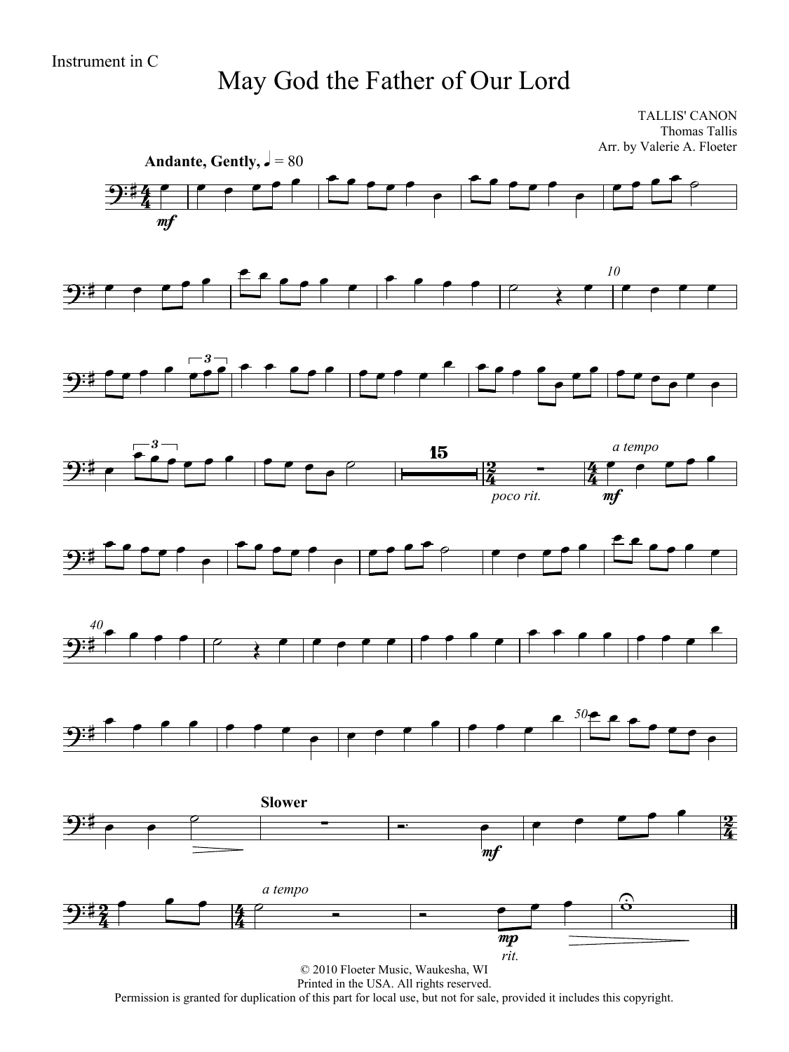## May God the Father of Our Lord

TALLIS' CANON Thomas Tallis Arr. by Valerie A. Floeter



Printed in the USA. All rights reserved.

Permission is granted for duplication of this part for local use, but not for sale, provided it includes this copyright.